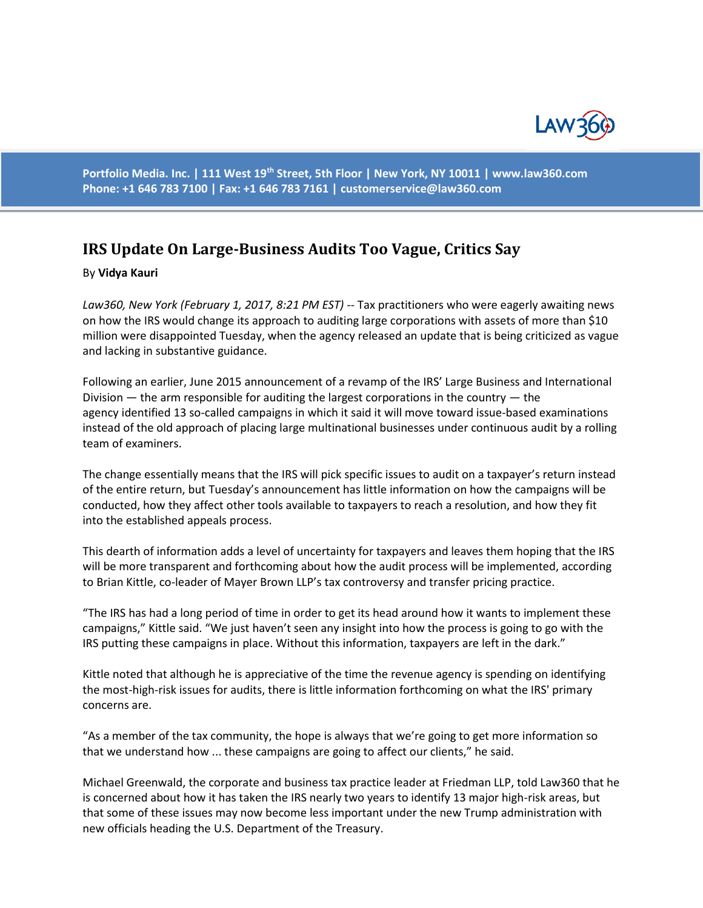

**Portfolio Media. Inc. | 111 West 19th Street, 5th Floor | New York, NY 10011 | www.law360.com Phone: +1 646 783 7100 | Fax: +1 646 783 7161 | [customerservice@law360.com](mailto:customerservice@law360.com)**

## **IRS Update On Large-Business Audits Too Vague, Critics Say**

## By **Vidya Kauri**

*Law360, New York (February 1, 2017, 8:21 PM EST)* -- Tax practitioners who were eagerly awaiting news on how the IRS would change its approach to auditing large corporations with assets of more than \$10 million were disappointed Tuesday, when the agency released an update that is being criticized as vague and lacking in substantive guidance.

Following an earlier, June 2015 announcement of a revamp of the IRS' Large Business and International Division — the arm responsible for auditing the largest corporations in the country — the agency identified 13 so-called campaigns in which it said it will move toward issue-based examinations instead of the old approach of placing large multinational businesses under continuous audit by a rolling team of examiners.

The change essentially means that the IRS will pick specific issues to audit on a taxpayer's return instead of the entire return, but Tuesday's announcement has little information on how the campaigns will be conducted, how they affect other tools available to taxpayers to reach a resolution, and how they fit into the established appeals process.

This dearth of information adds a level of uncertainty for taxpayers and leaves them hoping that the IRS will be more transparent and forthcoming about how the audit process will be implemented, according to Brian Kittle, co-leader of Mayer Brown LLP's tax controversy and transfer pricing practice.

"The IRS has had a long period of time in order to get its head around how it wants to implement these campaigns," Kittle said. "We just haven't seen any insight into how the process is going to go with the IRS putting these campaigns in place. Without this information, taxpayers are left in the dark."

Kittle noted that although he is appreciative of the time the revenue agency is spending on identifying the most-high-risk issues for audits, there is little information forthcoming on what the IRS' primary concerns are.

"As a member of the tax community, the hope is always that we're going to get more information so that we understand how ... these campaigns are going to affect our clients," he said.

Michael Greenwald, the corporate and business tax practice leader at Friedman LLP, told Law360 that he is concerned about how it has taken the IRS nearly two years to identify 13 major high-risk areas, but that some of these issues may now become less important under the new Trump administration with new officials heading the U.S. Department of the Treasury.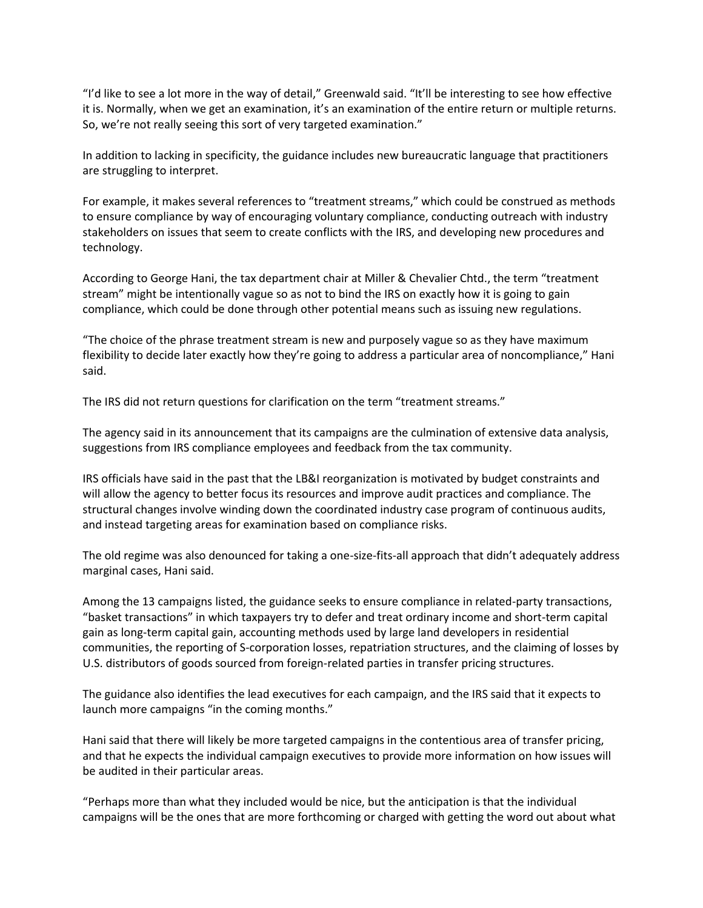"I'd like to see a lot more in the way of detail," Greenwald said. "It'll be interesting to see how effective it is. Normally, when we get an examination, it's an examination of the entire return or multiple returns. So, we're not really seeing this sort of very targeted examination."

In addition to lacking in specificity, the guidance includes new bureaucratic language that practitioners are struggling to interpret.

For example, it makes several references to "treatment streams," which could be construed as methods to ensure compliance by way of encouraging voluntary compliance, conducting outreach with industry stakeholders on issues that seem to create conflicts with the IRS, and developing new procedures and technology.

According to George Hani, the tax department chair at Miller & Chevalier Chtd., the term "treatment stream" might be intentionally vague so as not to bind the IRS on exactly how it is going to gain compliance, which could be done through other potential means such as issuing new regulations.

"The choice of the phrase treatment stream is new and purposely vague so as they have maximum flexibility to decide later exactly how they're going to address a particular area of noncompliance," Hani said.

The IRS did not return questions for clarification on the term "treatment streams."

The agency said in its announcement that its campaigns are the culmination of extensive data analysis, suggestions from IRS compliance employees and feedback from the tax community.

IRS officials have said in the past that the LB&I reorganization is motivated by budget constraints and will allow the agency to better focus its resources and improve audit practices and compliance. The structural changes involve winding down the coordinated industry case program of continuous audits, and instead targeting areas for examination based on compliance risks.

The old regime was also denounced for taking a one-size-fits-all approach that didn't adequately address marginal cases, Hani said.

Among the 13 campaigns listed, the guidance seeks to ensure compliance in related-party transactions, "basket transactions" in which taxpayers try to defer and treat ordinary income and short-term capital gain as long-term capital gain, accounting methods used by large land developers in residential communities, the reporting of S-corporation losses, repatriation structures, and the claiming of losses by U.S. distributors of goods sourced from foreign-related parties in transfer pricing structures.

The guidance also identifies the lead executives for each campaign, and the IRS said that it expects to launch more campaigns "in the coming months."

Hani said that there will likely be more targeted campaigns in the contentious area of transfer pricing, and that he expects the individual campaign executives to provide more information on how issues will be audited in their particular areas.

"Perhaps more than what they included would be nice, but the anticipation is that the individual campaigns will be the ones that are more forthcoming or charged with getting the word out about what